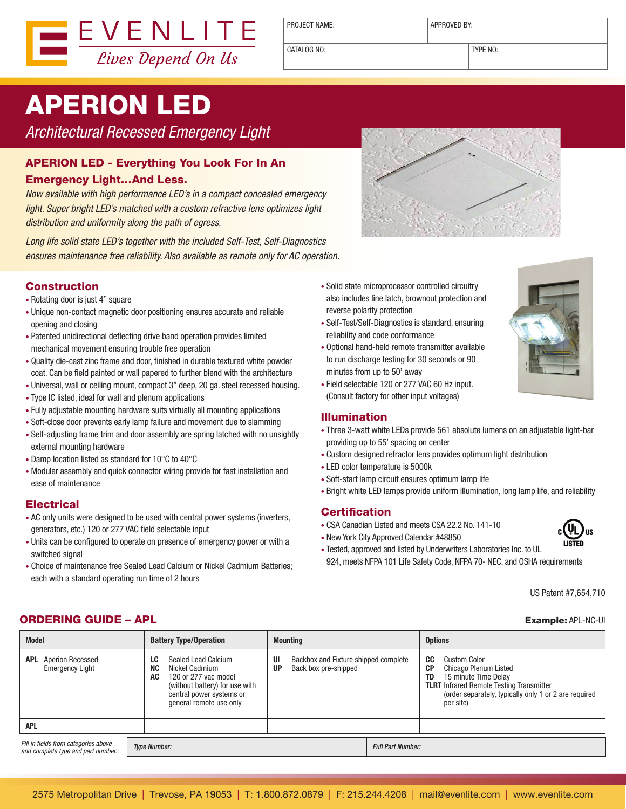

PROJECT NAME:  $\vert$  APPROVED BY:

CATALOG NO: TYPE NO:

# APERION LED

Architectural Recessed Emergency Light

### APERION LED - Everything You Look For In An

#### Emergency Light…And Less.

Now available with high performance LED's in a compact concealed emergency light. Super bright LED's matched with a custom refractive lens optimizes light distribution and uniformity along the path of egress.

Long life solid state LED's together with the included Self-Test, Self-Diagnostics ensures maintenance free reliability. Also available as remote only for AC operation.

### Construction

- Rotating door is just 4" square
- Unique non-contact magnetic door positioning ensures accurate and reliable opening and closing
- Patented unidirectional deflecting drive band operation provides limited mechanical movement ensuring trouble free operation
- • Quality die-cast zinc frame and door, finished in durable textured white powder coat. Can be field painted or wall papered to further blend with the architecture
- Universal, wall or ceiling mount, compact 3" deep, 20 ga. steel recessed housing.
- Type IC listed, ideal for wall and plenum applications
- Fully adjustable mounting hardware suits virtually all mounting applications
- Soft-close door prevents early lamp failure and movement due to slamming
- Self-adjusting frame trim and door assembly are spring latched with no unsightly external mounting hardware
- • Damp location listed as standard for 10°C to 40°C
- Modular assembly and quick connector wiring provide for fast installation and ease of maintenance

#### **Electrical**

- AC only units were designed to be used with central power systems (inverters, generators, etc.) 120 or 277 VAC field selectable input
- Units can be configured to operate on presence of emergency power or with a switched signal
- Choice of maintenance free Sealed Lead Calcium or Nickel Cadmium Batteries; each with a standard operating run time of 2 hours



- • Solid state microprocessor controlled circuitry also includes line latch, brownout protection and reverse polarity protection
- Self-Test/Self-Diagnostics is standard, ensuring reliability and code conformance
- • Optional hand-held remote transmitter available to run discharge testing for 30 seconds or 90 minutes from up to 50' away
- • Field selectable 120 or 277 VAC 60 Hz input. (Consult factory for other input voltages)

#### Illumination

- Three 3-watt white LEDs provide 561 absolute lumens on an adjustable light-bar providing up to 55' spacing on center
- • Custom designed refractor lens provides optimum light distribution
- • LED color temperature is 5000k
- Soft-start lamp circuit ensures optimum lamp life
- Bright white LED lamps provide uniform illumination, long lamp life, and reliability

#### **Certification**

- CSA Canadian Listed and meets CSA 22.2 No. 141-10
- New York City Approved Calendar #48850
- 
- Tested, approved and listed by Underwriters Laboratories Inc. to UL
- 924, meets NFPA 101 Life Safety Code, NFPA 70- NEC, and OSHA requirements

US Patent #7,654,710

#### **ORDERING GUIDE – APL Example: APL Example: APL-NC-UI**

| <b>Model</b>                                                               | <b>Battery Type/Operation</b>                                                                                                                                                   | <b>Mounting</b>                                                          | <b>Options</b>                                                                                                                                                                                                  |
|----------------------------------------------------------------------------|---------------------------------------------------------------------------------------------------------------------------------------------------------------------------------|--------------------------------------------------------------------------|-----------------------------------------------------------------------------------------------------------------------------------------------------------------------------------------------------------------|
| <b>Aperion Recessed</b><br>APL.<br><b>Emergency Light</b>                  | Sealed Lead Calcium<br>LC<br><b>NC</b><br>Nickel Cadmium<br>AC<br>120 or 277 vac model<br>(without battery) for use with<br>central power systems or<br>general remote use only | Backbox and Fixture shipped complete<br>UI<br>Back box pre-shipped<br>UP | CC<br>Custom Color<br><b>CP</b><br>Chicago Plenum Listed<br>TD<br>15 minute Time Delay<br><b>TLRT</b> Infrared Remote Testing Transmitter<br>(order separately, typically only 1 or 2 are required<br>per site) |
| <b>APL</b>                                                                 |                                                                                                                                                                                 |                                                                          |                                                                                                                                                                                                                 |
| Fill in fields from categories above<br>and complete type and part number. | <b>Type Number:</b>                                                                                                                                                             |                                                                          | <b>Full Part Number:</b>                                                                                                                                                                                        |